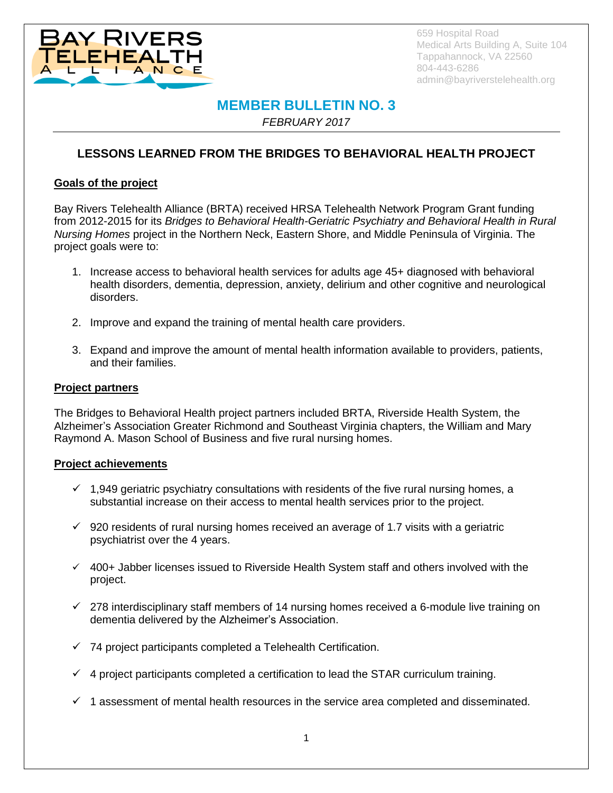

659 Hospital Road Medical Arts Building A, Suite 104 Tappahannock, VA 22560 804-443-6286 admin@bayriverstelehealth.org

# **MEMBER BULLETIN NO. 3**

*FEBRUARY 2017*

## **LESSONS LEARNED FROM THE BRIDGES TO BEHAVIORAL HEALTH PROJECT**

#### **Goals of the project**

Bay Rivers Telehealth Alliance (BRTA) received HRSA Telehealth Network Program Grant funding from 2012-2015 for its *Bridges to Behavioral Health-Geriatric Psychiatry and Behavioral Health in Rural Nursing Homes* project in the Northern Neck, Eastern Shore, and Middle Peninsula of Virginia. The project goals were to:

- 1. Increase access to behavioral health services for adults age 45+ diagnosed with behavioral health disorders, dementia, depression, anxiety, delirium and other cognitive and neurological disorders.
- 2. Improve and expand the training of mental health care providers.
- 3. Expand and improve the amount of mental health information available to providers, patients, and their families.

#### **Project partners**

The Bridges to Behavioral Health project partners included BRTA, Riverside Health System, the Alzheimer's Association Greater Richmond and Southeast Virginia chapters, the William and Mary Raymond A. Mason School of Business and five rural nursing homes.

#### **Project achievements**

- $\checkmark$  1,949 geriatric psychiatry consultations with residents of the five rural nursing homes, a substantial increase on their access to mental health services prior to the project.
- $\checkmark$  920 residents of rural nursing homes received an average of 1.7 visits with a geriatric psychiatrist over the 4 years.
- $400+$  Jabber licenses issued to Riverside Health System staff and others involved with the project.
- $\checkmark$  278 interdisciplinary staff members of 14 nursing homes received a 6-module live training on dementia delivered by the Alzheimer's Association.
- $\checkmark$  74 project participants completed a Telehealth Certification.
- $\checkmark$  4 project participants completed a certification to lead the STAR curriculum training.
- $\checkmark$  1 assessment of mental health resources in the service area completed and disseminated.